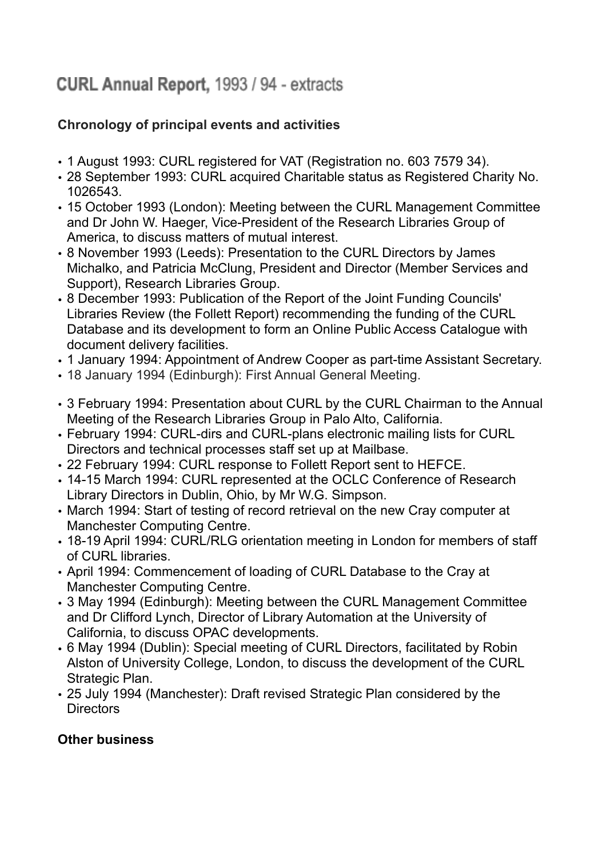## **CURL Annual Report, 1993 / 94 - extracts**

## **Chronology of principal events and activities**

- 1 August 1993: CURL registered for VAT (Registration no. 603 7579 34).
- 28 September 1993: CURL acquired Charitable status as Registered Charity No. 1026543.
- 15 October 1993 (London): Meeting between the CURL Management Committee and Dr John W. Haeger, Vice-President of the Research Libraries Group of America, to discuss matters of mutual interest.
- 8 November 1993 (Leeds): Presentation to the CURL Directors by James Michalko, and Patricia McClung, President and Director (Member Services and Support), Research Libraries Group.
- 8 December 1993: Publication of the Report of the Joint Funding Councils' Libraries Review (the Follett Report) recommending the funding of the CURL Database and its development to form an Online Public Access Catalogue with document delivery facilities.
- 1 January 1994: Appointment of Andrew Cooper as part-time Assistant Secretary.
- 18 January 1994 (Edinburgh): First Annual General Meeting.
- 3 February 1994: Presentation about CURL by the CURL Chairman to the Annual Meeting of the Research Libraries Group in Palo Alto, California.
- February 1994: CURL-dirs and CURL-plans electronic mailing lists for CURL Directors and technical processes staff set up at Mailbase.
- 22 February 1994: CURL response to Follett Report sent to HEFCE.
- 14-15 March 1994: CURL represented at the OCLC Conference of Research Library Directors in Dublin, Ohio, by Mr W.G. Simpson.
- March 1994: Start of testing of record retrieval on the new Cray computer at Manchester Computing Centre.
- 18-19 April 1994: CURL/RLG orientation meeting in London for members of staff of CURL libraries.
- April 1994: Commencement of loading of CURL Database to the Cray at Manchester Computing Centre.
- 3 May 1994 (Edinburgh): Meeting between the CURL Management Committee and Dr Clifford Lynch, Director of Library Automation at the University of California, to discuss OPAC developments.
- 6 May 1994 (Dublin): Special meeting of CURL Directors, facilitated by Robin Alston of University College, London, to discuss the development of the CURL Strategic Plan.
- 25 July 1994 (Manchester): Draft revised Strategic Plan considered by the Directors

## **Other business**